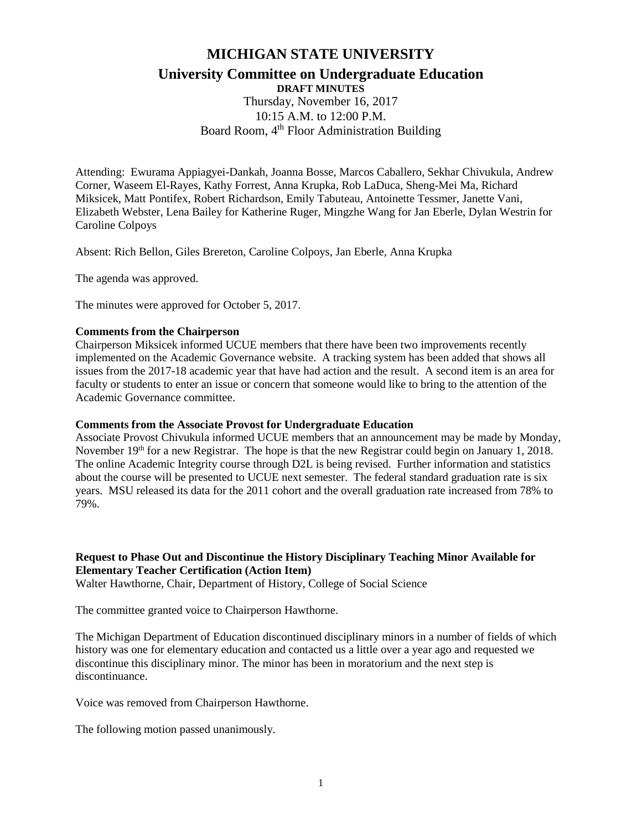# **MICHIGAN STATE UNIVERSITY**

# **University Committee on Undergraduate Education**

**DRAFT MINUTES**

Thursday, November 16, 2017 10:15 A.M. to 12:00 P.M. Board Room, 4<sup>th</sup> Floor Administration Building

Attending: Ewurama Appiagyei-Dankah, Joanna Bosse, Marcos Caballero, Sekhar Chivukula, Andrew Corner, Waseem El-Rayes, Kathy Forrest, Anna Krupka, Rob LaDuca, Sheng-Mei Ma, Richard Miksicek, Matt Pontifex, Robert Richardson, Emily Tabuteau, Antoinette Tessmer, Janette Vani, Elizabeth Webster, Lena Bailey for Katherine Ruger, Mingzhe Wang for Jan Eberle, Dylan Westrin for Caroline Colpoys

Absent: Rich Bellon, Giles Brereton, Caroline Colpoys, Jan Eberle, Anna Krupka

The agenda was approved.

The minutes were approved for October 5, 2017.

#### **Comments from the Chairperson**

Chairperson Miksicek informed UCUE members that there have been two improvements recently implemented on the Academic Governance website. A tracking system has been added that shows all issues from the 2017-18 academic year that have had action and the result. A second item is an area for faculty or students to enter an issue or concern that someone would like to bring to the attention of the Academic Governance committee.

#### **Comments from the Associate Provost for Undergraduate Education**

Associate Provost Chivukula informed UCUE members that an announcement may be made by Monday, November 19<sup>th</sup> for a new Registrar. The hope is that the new Registrar could begin on January 1, 2018. The online Academic Integrity course through D2L is being revised. Further information and statistics about the course will be presented to UCUE next semester. The federal standard graduation rate is six years. MSU released its data for the 2011 cohort and the overall graduation rate increased from 78% to 79%.

# **Request to Phase Out and Discontinue the History Disciplinary Teaching Minor Available for Elementary Teacher Certification (Action Item)**

Walter Hawthorne, Chair, Department of History, College of Social Science

The committee granted voice to Chairperson Hawthorne.

The Michigan Department of Education discontinued disciplinary minors in a number of fields of which history was one for elementary education and contacted us a little over a year ago and requested we discontinue this disciplinary minor. The minor has been in moratorium and the next step is discontinuance.

Voice was removed from Chairperson Hawthorne.

The following motion passed unanimously.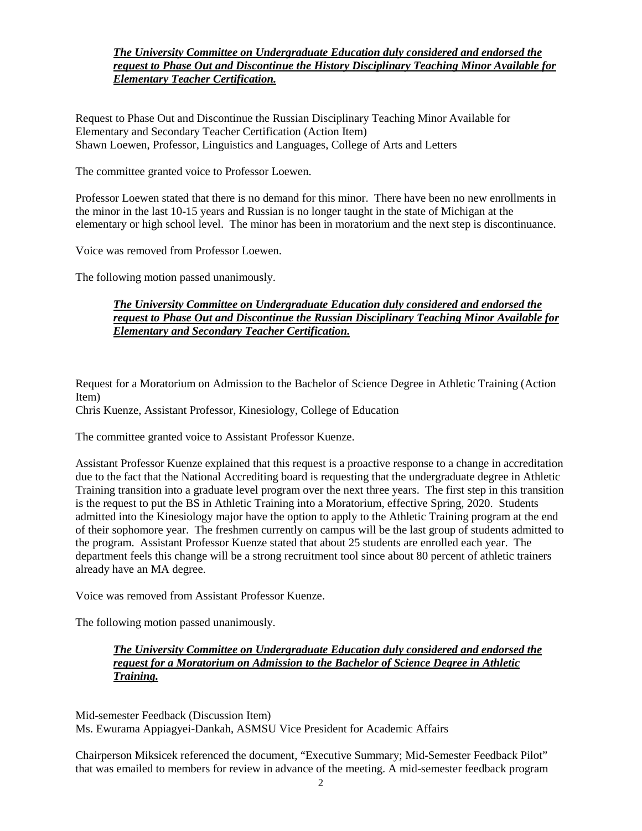## *The University Committee on Undergraduate Education duly considered and endorsed the request to Phase Out and Discontinue the History Disciplinary Teaching Minor Available for Elementary Teacher Certification.*

Request to Phase Out and Discontinue the Russian Disciplinary Teaching Minor Available for Elementary and Secondary Teacher Certification (Action Item) Shawn Loewen, Professor, Linguistics and Languages, College of Arts and Letters

The committee granted voice to Professor Loewen.

Professor Loewen stated that there is no demand for this minor. There have been no new enrollments in the minor in the last 10-15 years and Russian is no longer taught in the state of Michigan at the elementary or high school level. The minor has been in moratorium and the next step is discontinuance.

Voice was removed from Professor Loewen.

The following motion passed unanimously.

#### *The University Committee on Undergraduate Education duly considered and endorsed the request to Phase Out and Discontinue the Russian Disciplinary Teaching Minor Available for Elementary and Secondary Teacher Certification.*

Request for a Moratorium on Admission to the Bachelor of Science Degree in Athletic Training (Action Item)

Chris Kuenze, Assistant Professor, Kinesiology, College of Education

The committee granted voice to Assistant Professor Kuenze.

Assistant Professor Kuenze explained that this request is a proactive response to a change in accreditation due to the fact that the National Accrediting board is requesting that the undergraduate degree in Athletic Training transition into a graduate level program over the next three years. The first step in this transition is the request to put the BS in Athletic Training into a Moratorium, effective Spring, 2020. Students admitted into the Kinesiology major have the option to apply to the Athletic Training program at the end of their sophomore year. The freshmen currently on campus will be the last group of students admitted to the program. Assistant Professor Kuenze stated that about 25 students are enrolled each year. The department feels this change will be a strong recruitment tool since about 80 percent of athletic trainers already have an MA degree.

Voice was removed from Assistant Professor Kuenze.

The following motion passed unanimously.

*The University Committee on Undergraduate Education duly considered and endorsed the request for a Moratorium on Admission to the Bachelor of Science Degree in Athletic Training.*

Mid-semester Feedback (Discussion Item) Ms. Ewurama Appiagyei-Dankah, ASMSU Vice President for Academic Affairs

Chairperson Miksicek referenced the document, "Executive Summary; Mid-Semester Feedback Pilot" that was emailed to members for review in advance of the meeting. A mid-semester feedback program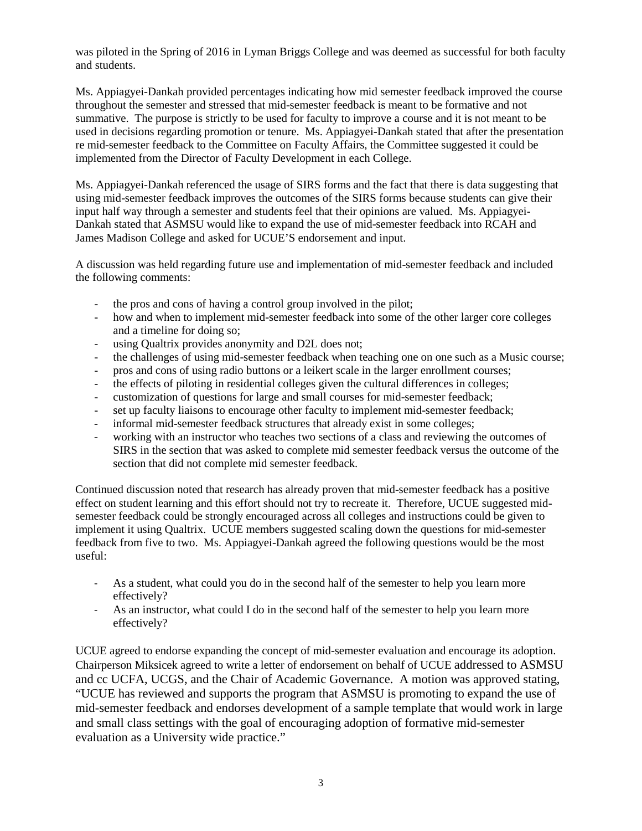was piloted in the Spring of 2016 in Lyman Briggs College and was deemed as successful for both faculty and students.

Ms. Appiagyei-Dankah provided percentages indicating how mid semester feedback improved the course throughout the semester and stressed that mid-semester feedback is meant to be formative and not summative. The purpose is strictly to be used for faculty to improve a course and it is not meant to be used in decisions regarding promotion or tenure. Ms. Appiagyei-Dankah stated that after the presentation re mid-semester feedback to the Committee on Faculty Affairs, the Committee suggested it could be implemented from the Director of Faculty Development in each College.

Ms. Appiagyei-Dankah referenced the usage of SIRS forms and the fact that there is data suggesting that using mid-semester feedback improves the outcomes of the SIRS forms because students can give their input half way through a semester and students feel that their opinions are valued. Ms. Appiagyei-Dankah stated that ASMSU would like to expand the use of mid-semester feedback into RCAH and James Madison College and asked for UCUE'S endorsement and input.

A discussion was held regarding future use and implementation of mid-semester feedback and included the following comments:

- the pros and cons of having a control group involved in the pilot;
- how and when to implement mid-semester feedback into some of the other larger core colleges and a timeline for doing so;
- using Qualtrix provides anonymity and D2L does not;
- the challenges of using mid-semester feedback when teaching one on one such as a Music course;
- pros and cons of using radio buttons or a leikert scale in the larger enrollment courses;
- the effects of piloting in residential colleges given the cultural differences in colleges;
- customization of questions for large and small courses for mid-semester feedback;
- set up faculty liaisons to encourage other faculty to implement mid-semester feedback;
- informal mid-semester feedback structures that already exist in some colleges;
- working with an instructor who teaches two sections of a class and reviewing the outcomes of SIRS in the section that was asked to complete mid semester feedback versus the outcome of the section that did not complete mid semester feedback.

Continued discussion noted that research has already proven that mid-semester feedback has a positive effect on student learning and this effort should not try to recreate it. Therefore, UCUE suggested midsemester feedback could be strongly encouraged across all colleges and instructions could be given to implement it using Qualtrix. UCUE members suggested scaling down the questions for mid-semester feedback from five to two. Ms. Appiagyei-Dankah agreed the following questions would be the most useful:

- As a student, what could you do in the second half of the semester to help you learn more effectively?
- As an instructor, what could I do in the second half of the semester to help you learn more effectively?

UCUE agreed to endorse expanding the concept of mid-semester evaluation and encourage its adoption. Chairperson Miksicek agreed to write a letter of endorsement on behalf of UCUE addressed to ASMSU and cc UCFA, UCGS, and the Chair of Academic Governance. A motion was approved stating, "UCUE has reviewed and supports the program that ASMSU is promoting to expand the use of mid-semester feedback and endorses development of a sample template that would work in large and small class settings with the goal of encouraging adoption of formative mid-semester evaluation as a University wide practice."